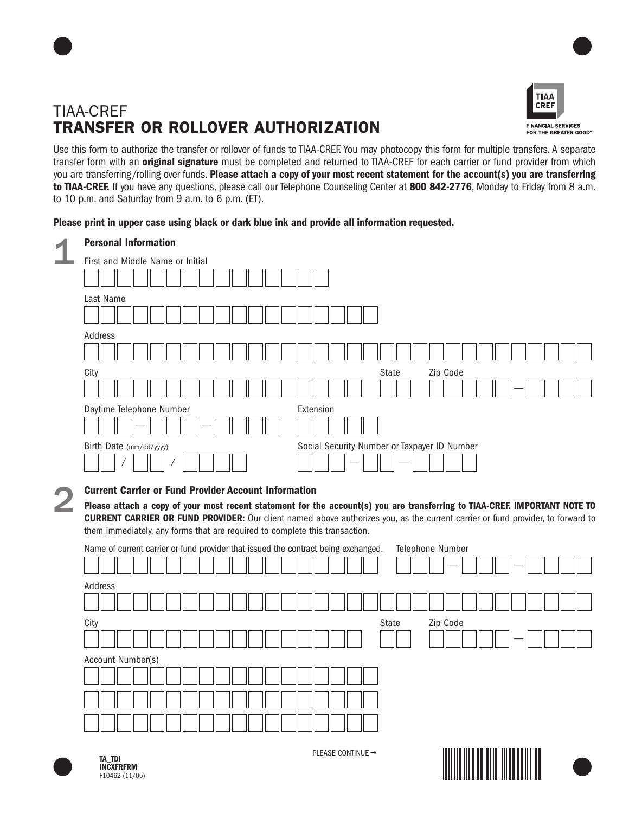



Use this form to authorize the transfer or rollover of funds to TIAA-CREF. You may photocopy this form for multiple transfers. A separate transfer form with an **original signature** must be completed and returned to TIAA-CREF for each carrier or fund provider from which you are transferring/rolling over funds. **Please attach a copy of your most recent statement for the account(s) you are transferring to TIAA-CREF.** If you have any questions, please call our Telephone Counseling Center at **800 842-2776**, Monday to Friday from 8 a.m. to 10 p.m. and Saturday from 9 a.m. to 6 p.m. (ET).

## **Please print in upper case using black or dark blue ink and provide all information requested.**

| <b>Personal Information</b>                                                                                                                                                                                                                                          |
|----------------------------------------------------------------------------------------------------------------------------------------------------------------------------------------------------------------------------------------------------------------------|
| First and Middle Name or Initial                                                                                                                                                                                                                                     |
|                                                                                                                                                                                                                                                                      |
| Last Name                                                                                                                                                                                                                                                            |
|                                                                                                                                                                                                                                                                      |
| Address                                                                                                                                                                                                                                                              |
|                                                                                                                                                                                                                                                                      |
| City<br>State<br>Zip Code                                                                                                                                                                                                                                            |
| Daytime Telephone Number<br>Extension                                                                                                                                                                                                                                |
|                                                                                                                                                                                                                                                                      |
| Social Security Number or Taxpayer ID Number<br>Birth Date (mm/dd/yyyy)                                                                                                                                                                                              |
|                                                                                                                                                                                                                                                                      |
| <b>Current Carrier or Fund Provider Account Information</b>                                                                                                                                                                                                          |
| Please attach a copy of your most recent statement for the account(s) you are transferring to TIAA-CREF. IMPORTANT NOTE TO<br><b>CURRENT CARRIER OR FUND PROVIDER:</b> Our client named above authorizes you, as the current carrier or fund provider, to forward to |
| them immediately, any forms that are required to complete this transaction.                                                                                                                                                                                          |
| Name of current carrier or fund provider that issued the contract being exchanged.<br>Telephone Number                                                                                                                                                               |
|                                                                                                                                                                                                                                                                      |
| Address                                                                                                                                                                                                                                                              |
|                                                                                                                                                                                                                                                                      |
| Zip Code<br>City<br>State                                                                                                                                                                                                                                            |
|                                                                                                                                                                                                                                                                      |
| Account Number(s)                                                                                                                                                                                                                                                    |
|                                                                                                                                                                                                                                                                      |
|                                                                                                                                                                                                                                                                      |
|                                                                                                                                                                                                                                                                      |
|                                                                                                                                                                                                                                                                      |



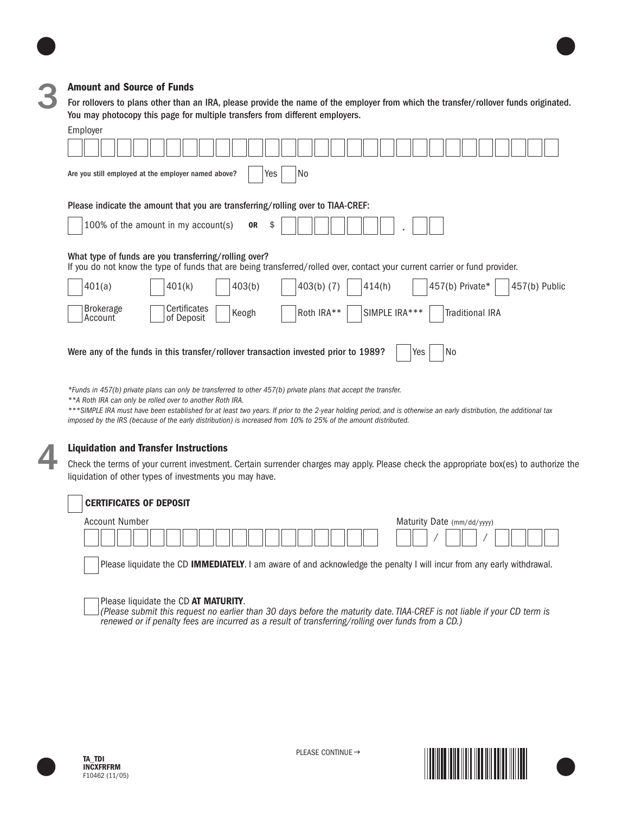

3

#### **Amount and Source of Funds**

For rollovers to plans other than an IRA, please provide the name of the employer from which the transfer/rollover funds originated. You may photocopy this page for multiple transfers from different employers.

| Employer                                                                                                                                                                             |  |  |  |  |  |
|--------------------------------------------------------------------------------------------------------------------------------------------------------------------------------------|--|--|--|--|--|
|                                                                                                                                                                                      |  |  |  |  |  |
| Yes<br>No<br>Are you still employed at the employer named above?                                                                                                                     |  |  |  |  |  |
| Please indicate the amount that you are transferring/rolling over to TIAA-CREF:                                                                                                      |  |  |  |  |  |
| 100% of the amount in my account(s)<br><b>OR</b><br>\$                                                                                                                               |  |  |  |  |  |
| What type of funds are you transferring/rolling over?<br>If you do not know the type of funds that are being transferred/rolled over, contact your current carrier or fund provider. |  |  |  |  |  |
| $403(b)$ (7)<br>457(b) Private*<br>403(b)<br>457(b) Public<br>401(a)<br>401(k)<br>414(h)                                                                                             |  |  |  |  |  |
| <b>Brokerage</b><br>Certificates<br>SIMPLE IRA***<br>Roth IRA**<br><b>Traditional IRA</b><br>Keogh<br>of Deposit<br>Account                                                          |  |  |  |  |  |
| Yes<br>Were any of the funds in this transfer/rollover transaction invested prior to 1989?<br>No                                                                                     |  |  |  |  |  |

*\*Funds in 457(b) private plans can only be transferred to other 457(b) private plans that accept the transfer.*

*\*\*A Roth IRA can only be rolled over to another Roth IRA.*

*\*\*\*SIMPLE IRA must have been established for at least two years. If prior to the 2-year holding period, and is otherwise an early distribution, the additional tax imposed by the IRS (because of the early distribution) is increased from 10% to 25% of the amount distributed.*

#### **Liquidation and Transfer Instructions**

Check the terms of your current investment. Certain surrender charges may apply. Please check the appropriate box(es) to authorize the liquidation of other types of investments you may have.

#### **CERTIFICATES OF DEPOSIT**



Please liquidate the CD **IMMEDIATELY**. I am aware of and acknowledge the penalty I will incur from any early withdrawal.

Please liquidate the CD **AT MATURITY**.<br>*(Please submit this request no earlier than 30 days before the maturity date. TIAA-CREF is not liable if your CD term is renewed or if penalty fees are incurred as a result of transferring/rolling over funds from a CD.)*



4





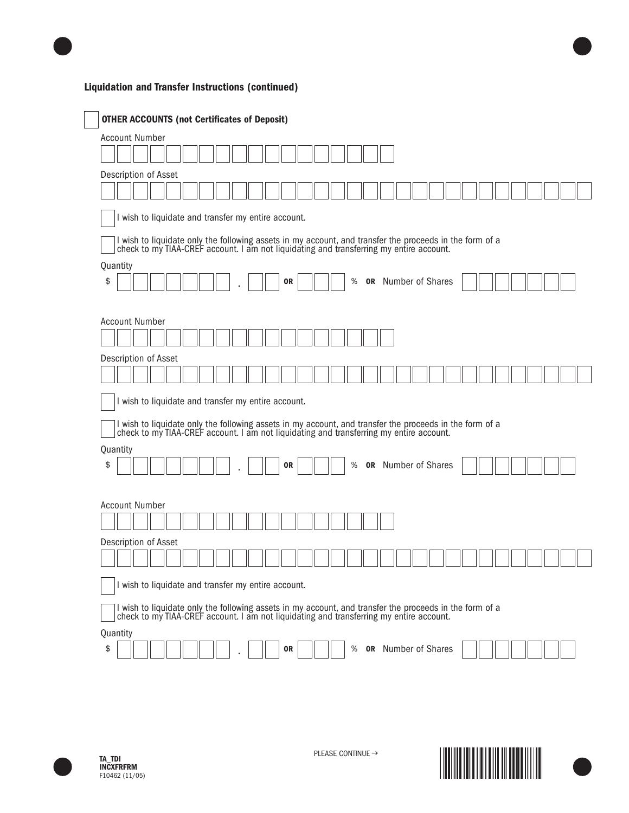# **Liquidation and Transfer Instructions (continued)**

| <b>OTHER ACCOUNTS (not Certificates of Deposit)</b>                                                                                                                                                |  |  |  |  |  |
|----------------------------------------------------------------------------------------------------------------------------------------------------------------------------------------------------|--|--|--|--|--|
| <b>Account Number</b>                                                                                                                                                                              |  |  |  |  |  |
|                                                                                                                                                                                                    |  |  |  |  |  |
| Description of Asset                                                                                                                                                                               |  |  |  |  |  |
|                                                                                                                                                                                                    |  |  |  |  |  |
| I wish to liquidate and transfer my entire account.                                                                                                                                                |  |  |  |  |  |
| I wish to liquidate only the following assets in my account, and transfer the proceeds in the form of a check to my TIAA-CREF account. I am not liquidating and transferring my entire account.    |  |  |  |  |  |
| Quantity<br>\$<br><b>OR</b> Number of Shares<br>%<br>0R                                                                                                                                            |  |  |  |  |  |
| <b>Account Number</b>                                                                                                                                                                              |  |  |  |  |  |
| Description of Asset                                                                                                                                                                               |  |  |  |  |  |
| I wish to liquidate and transfer my entire account.                                                                                                                                                |  |  |  |  |  |
| I wish to liquidate only the following assets in my account, and transfer the proceeds in the form of a<br>check to my TIAA-CREF account. I am not liquidating and transferring my entire account. |  |  |  |  |  |
|                                                                                                                                                                                                    |  |  |  |  |  |
| Quantity<br>\$<br><b>or</b> Number of Shares<br>%<br>0R                                                                                                                                            |  |  |  |  |  |
| <b>Account Number</b>                                                                                                                                                                              |  |  |  |  |  |
|                                                                                                                                                                                                    |  |  |  |  |  |
| Description of Asset                                                                                                                                                                               |  |  |  |  |  |
|                                                                                                                                                                                                    |  |  |  |  |  |
| I wish to liquidate and transfer my entire account.                                                                                                                                                |  |  |  |  |  |
| I wish to liquidate only the following assets in my account, and transfer the proceeds in the form of a check to my TIAA-CREF account. I am not liquidating and transferring my entire account.    |  |  |  |  |  |
| Quantity                                                                                                                                                                                           |  |  |  |  |  |
| <b>OR</b> Number of Shares<br>\$<br>%<br>0R                                                                                                                                                        |  |  |  |  |  |



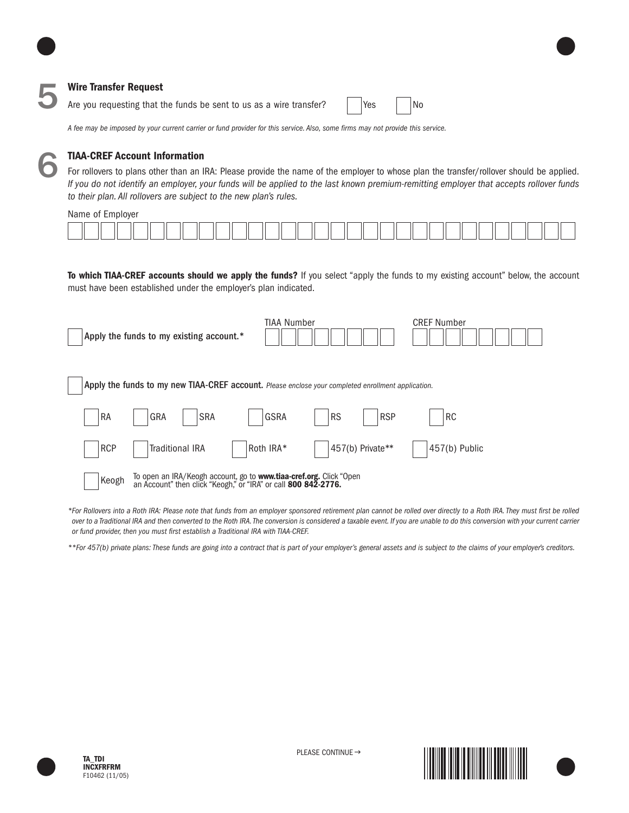### **Wire Transfer Request**

Are you requesting that the funds be sent to us as a wire transfer?  $\vert$  | Yes | | No

*A fee may be imposed by your current carrier or fund provider for this service. Also, some firms may not provide this service.*



### **TIAA-CREF Account Information**

For rollovers to plans other than an IRA: Please provide the name of the employer to whose plan the transfer/rollover should be applied. *If you do not identify an employer, your funds will be applied to the last known premium-remitting employer that accepts rollover funds to their plan. All rollovers are subject to the new plan's rules.*

Name of Employer

| ب المالي المساحب المساحب المساحب المساحب المساحب المساحب المساحب المساحب المساحب المساحب المساحب المساحب المساحب |  |
|------------------------------------------------------------------------------------------------------------------|--|

**To which TIAA-CREF accounts should we apply the funds?** If you select "apply the funds to my existing account" below, the account must have been established under the employer's plan indicated.

| Apply the funds to my existing account.*                                                           | TIAA Number                                                                                                                          |                  | <b>CREF Number</b>      |  |  |  |  |
|----------------------------------------------------------------------------------------------------|--------------------------------------------------------------------------------------------------------------------------------------|------------------|-------------------------|--|--|--|--|
| Apply the funds to my new TIAA-CREF account. Please enclose your completed enrollment application. |                                                                                                                                      |                  |                         |  |  |  |  |
| <b>RA</b><br>GRA                                                                                   | <b>SRA</b><br>GSRA                                                                                                                   | <b>RS</b>        | <b>RSP</b><br><b>RC</b> |  |  |  |  |
| <b>RCP</b><br><b>Traditional IRA</b>                                                               | Roth IRA*                                                                                                                            | 457(b) Private** | 457(b) Public           |  |  |  |  |
| Keogh                                                                                              | To open an IRA/Keogh account, go to www.tiaa-cref.org. Click "Open<br>an Account" then click "Keogh," or "IRA" or call 800 842-2776. |                  |                         |  |  |  |  |

*\*For Rollovers into a Roth IRA: Please note that funds from an employer sponsored retirement plan cannot be rolled over directly to a Roth IRA. They must first be rolled over to a Traditional IRA and then converted to the Roth IRA. The conversion is considered a taxable event. If you are unable to do this conversion with your current carrier or fund provider, then you must first establish a Traditional IRA with TIAA-CREF.*

*\*\*For 457(b) private plans: These funds are going into a contract that is part of your employer's general assets and is subject to the claims of your employer's creditors.*





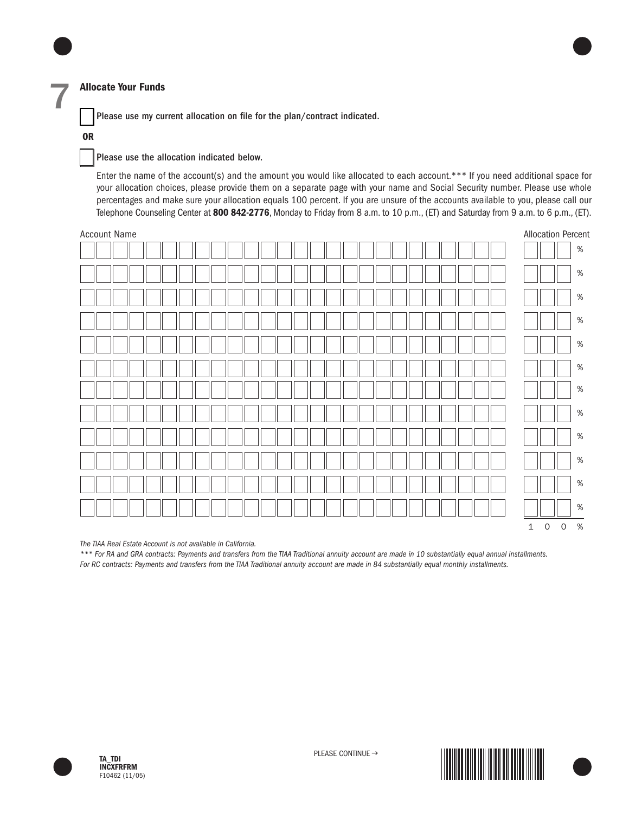#### **Allocate Your Funds**

Please use my current allocation on file for the plan/contract indicated.

#### **OR**

7

#### Please use the allocation indicated below.

Enter the name of the account(s) and the amount you would like allocated to each account.\*\*\* If you need additional space for your allocation choices, please provide them on a separate page with your name and Social Security number. Please use whole percentages and make sure your allocation equals 100 percent. If you are unsure of the accounts available to you, please call our Telephone Counseling Center at **800 842-2776**, Monday to Friday from 8 a.m. to 10 p.m., (ET) and Saturday from 9 a.m. to 6 p.m., (ET).



*The TIAA Real Estate Account is not available in California.*

*\*\*\* For RA and GRA contracts: Payments and transfers from the TIAA Traditional annuity account are made in 10 substantially equal annual installments. For RC contracts: Payments and transfers from the TIAA Traditional annuity account are made in 84 substantially equal monthly installments.*



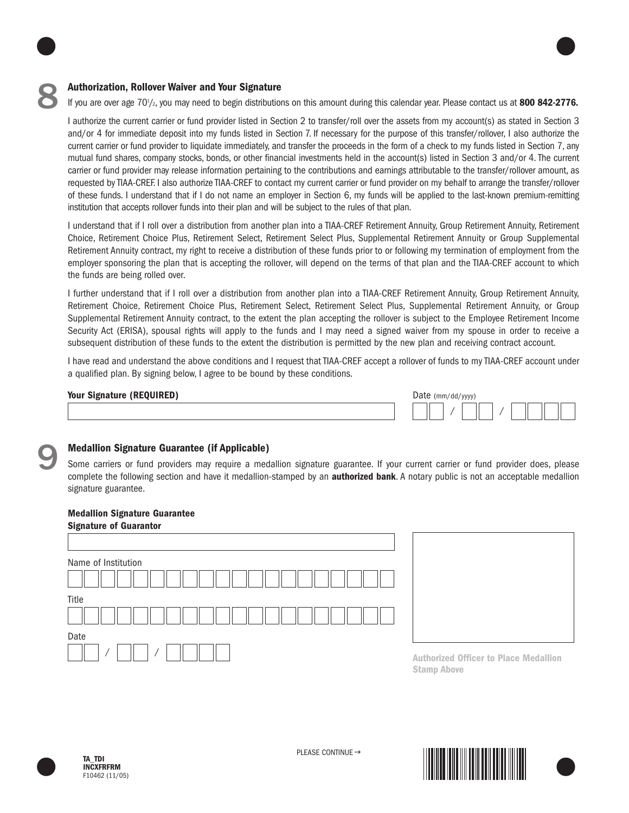

#### **Authorization, Rollover Waiver and Your Signature**

If you are over age 70<sup>1</sup>/<sub>2</sub>, you may need to begin distributions on this amount during this calendar year. Please contact us at 800 842-2776.

I authorize the current carrier or fund provider listed in Section 2 to transfer/roll over the assets from my account(s) as stated in Section 3 and/or 4 for immediate deposit into my funds listed in Section 7. If necessary for the purpose of this transfer/rollover, I also authorize the current carrier or fund provider to liquidate immediately, and transfer the proceeds in the form of a check to my funds listed in Section 7, any mutual fund shares, company stocks, bonds, or other financial investments held in the account(s) listed in Section 3 and/or 4. The current carrier or fund provider may release information pertaining to the contributions and earnings attributable to the transfer/rollover amount, as requested by TIAA-CREF. I also authorize TIAA-CREF to contact my current carrier or fund provider on my behalf to arrange the transfer/rollover of these funds. I understand that if I do not name an employer in Section 6, my funds will be applied to the last-known premium-remitting institution that accepts rollover funds into their plan and will be subject to the rules of that plan.

I understand that if I roll over a distribution from another plan into a TIAA-CREF Retirement Annuity, Group Retirement Annuity, Retirement Choice, Retirement Choice Plus, Retirement Select, Retirement Select Plus, Supplemental Retirement Annuity or Group Supplemental Retirement Annuity contract, my right to receive a distribution of these funds prior to or following my termination of employment from the employer sponsoring the plan that is accepting the rollover, will depend on the terms of that plan and the TIAA-CREF account to which the funds are being rolled over.

I further understand that if I roll over a distribution from another plan into a TIAA-CREF Retirement Annuity, Group Retirement Annuity, Retirement Choice, Retirement Choice Plus, Retirement Select, Retirement Select Plus, Supplemental Retirement Annuity, or Group Supplemental Retirement Annuity contract, to the extent the plan accepting the rollover is subject to the Employee Retirement Income Security Act (ERISA), spousal rights will apply to the funds and I may need a signed waiver from my spouse in order to receive a subsequent distribution of these funds to the extent the distribution is permitted by the new plan and receiving contract account.

I have read and understand the above conditions and I request that TIAA-CREF accept a rollover of funds to my TIAA-CREF account under a qualified plan. By signing below, I agree to be bound by these conditions.

#### **Your Signature (REQUIRED)**

|  | Date $(mm/dd/yyyy)$ |  |  |  |  |
|--|---------------------|--|--|--|--|
|  |                     |  |  |  |  |



#### **Medallion Signature Guarantee (if Applicable)**

Some carriers or fund providers may require a medallion signature guarantee. If your current carrier or fund provider does, please complete the following section and have it medallion-stamped by an **authorized bank**. A notary public is not an acceptable medallion signature guarantee.

#### **Medallion Signature Guarantee Signature of Guarantor**

| <b>Signature of quaranter</b> |                                                                    |
|-------------------------------|--------------------------------------------------------------------|
|                               |                                                                    |
| Name of Institution           |                                                                    |
|                               |                                                                    |
| Title                         |                                                                    |
|                               |                                                                    |
| Date                          |                                                                    |
|                               | <b>Authorized Officer to Place Medallion</b><br><b>Stamp Above</b> |